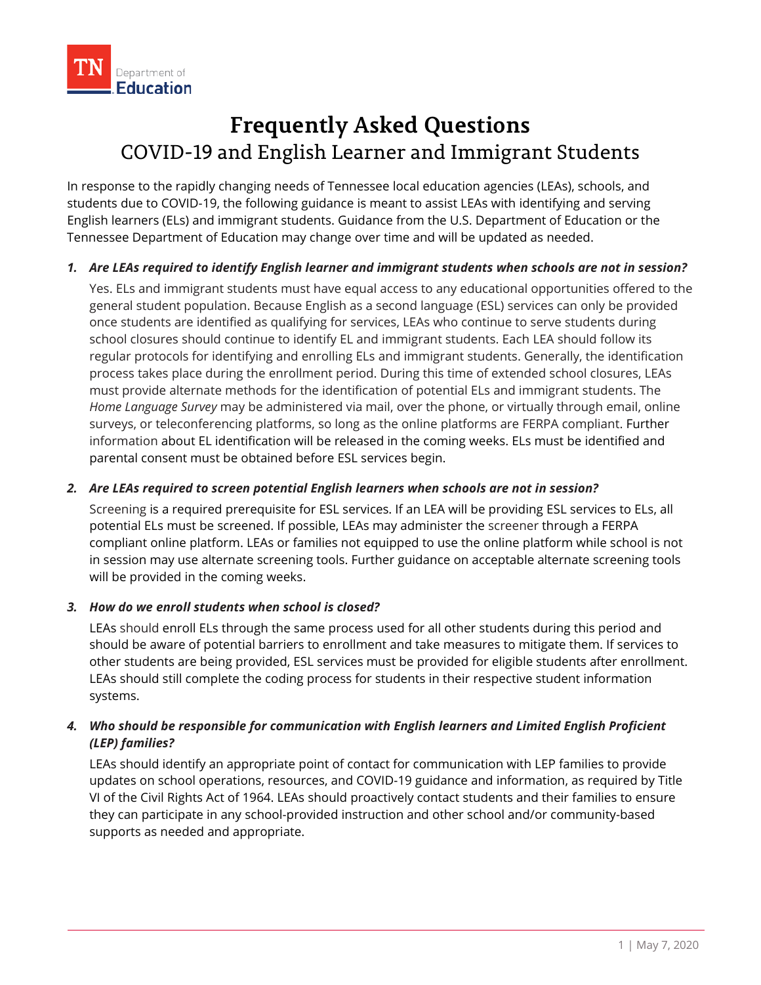

# **Frequently Asked Questions** COVID-19 and English Learner and Immigrant Students

In response to the rapidly changing needs of Tennessee local education agencies (LEAs), schools, and students due to COVID-19, the following guidance is meant to assist LEAs with identifying and serving English learners (ELs) and immigrant students. Guidance from the U.S. Department of Education or the Tennessee Department of Education may change over time and will be updated as needed.

## *1. Are LEAs required to identify English learner and immigrant students when schools are not in session?*

Yes. ELs and immigrant students must have equal access to any educational opportunities offered to the general student population. Because English as a second language (ESL) services can only be provided once students are identified as qualifying for services, LEAs who continue to serve students during school closures should continue to identify EL and immigrant students. Each LEA should follow its regular protocols for identifying and enrolling ELs and immigrant students. Generally, the identification process takes place during the enrollment period. During this time of extended school closures, LEAs must provide alternate methods for the identification of potential ELs and immigrant students. The *Home Language Survey* may be administered via mail, over the phone, or virtually through email, online surveys, or teleconferencing platforms, so long as the online platforms are FERPA compliant. Further information about EL identification will be released in the coming weeks. ELs must be identified and parental consent must be obtained before ESL services begin.

# *2. Are LEAs required to screen potential English learners when schools are not in session?*

Screening is a required prerequisite for ESL services. If an LEA will be providing ESL services to ELs, all potential ELs must be screened. If possible, LEAs may administer the screener through a FERPA compliant online platform. LEAs or families not equipped to use the online platform while school is not in session may use alternate screening tools. Further guidance on acceptable alternate screening tools will be provided in the coming weeks.

#### *3. How do we enroll students when school is closed?*

LEAs should enroll ELs through the same process used for all other students during this period and should be aware of potential barriers to enrollment and take measures to mitigate them. If services to other students are being provided, ESL services must be provided for eligible students after enrollment. LEAs should still complete the coding process for students in their respective student information systems.

# *4. Who should be responsible for communication with English learners and Limited English Proficient (LEP) families?*

LEAs should identify an appropriate point of contact for communication with LEP families to provide updates on school operations, resources, and COVID-19 guidance and information, as required by Title VI of the Civil Rights Act of 1964. LEAs should proactively contact students and their families to ensure they can participate in any school-provided instruction and other school and/or community-based supports as needed and appropriate.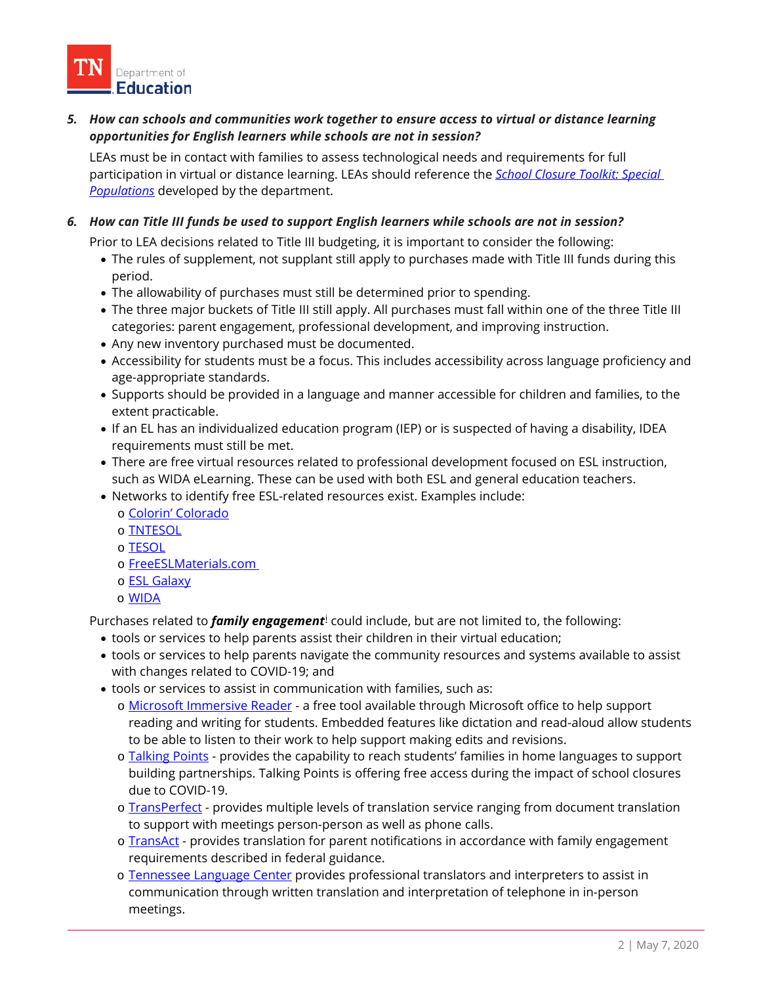

*5. How can schools and communities work together to ensure access to virtual or distance learning opportunities for English learners while schools are not in session?*

LEAs must be in contact with families to assess technological needs and requirements for full participation in virtual or distance learning. LEAs should reference the *[School Closure Toolkit: Special](https://www.tn.gov/content/dam/tn/education/health-&-safety/School%20Closure%20Toolkit_Special%20Populations.pdf)  [Populations](https://www.tn.gov/content/dam/tn/education/health-&-safety/School%20Closure%20Toolkit_Special%20Populations.pdf)* developed by the department.

*6. How can Title III funds be used to support English learners while schools are not in session?*

Prior to LEA decisions related to Title III budgeting, it is important to consider the following:

- The rules of supplement, not supplant still apply to purchases made with Title III funds during this period.
- The allowability of purchases must still be determined prior to spending.
- The three major buckets of Title III still apply. All purchases must fall within one of the three Title III categories: parent engagement, professional development, and improving instruction.
- Any new inventory purchased must be documented.
- Accessibility for students must be a focus. This includes accessibility across language proficiency and age-appropriate standards.
- Supports should be provided in a language and manner accessible for children and families, to the extent practicable.
- If an EL has an individualized education program (IEP) or is suspected of having a disability, IDEA requirements must still be met.
- There are free virtual resources related to professional development focused on ESL instruction, such as [WIDA eLearning.](https://wida.wisc.edu/grow/us-based-pl/elearning) These can be used with both ESL and general education teachers.
- <span id="page-1-0"></span>• Networks to identify free ESL-related resources exist. Examples include:
	- o [Colorin' Colorado](https://www.colorincolorado.org/)
	- o [TNTESOL](https://tntesol.org/)
	- o [TESOL](http://www.tesol.org/)
	- o [FreeESLMaterials.com](https://freeeslmaterials.com/)
	- o [ESL Galaxy](http://www.esl-galaxy.com/)
	- o [WIDA](http://www.wida.us/)

Purchases related to *family engagement*[i](#page-1-0) could include, but are not limited to, the following:

- tools or services to help parents assist their children in their virtual education;
- tools or services to help parents navigate the community resources and systems available to assist with changes related to COVID-19; and
- tools or services to assist in communication with families, such as:
	- o [Microsoft Immersive Reader](https://www.onenote.com/learningtools) a free tool available through Microsoft office to help support reading and writing for students. Embedded features like dictation and read-aloud allow students to be able to listen to their work to help support making edits and revisions.
	- o [Talking Points](https://talkingpts.org/) provides the capability to reach students' families in home languages to support building partnerships. Talking Points is offering free access during the impact of school closures due to COVID-19.
	- o [TransPerfect](https://www.transperfect.com/) provides multiple levels of translation service ranging from document translation to support with meetings person-person as well as phone calls.
	- o [TransAct](https://www.transact.com/) provides translation for parent notifications in accordance with family engagement requirements described in federal guidance.
	- o [Tennessee Language Center](https://tfli.org/) provides professional translators and interpreters to assist in communication through written translation and interpretation of telephone in in-person meetings.